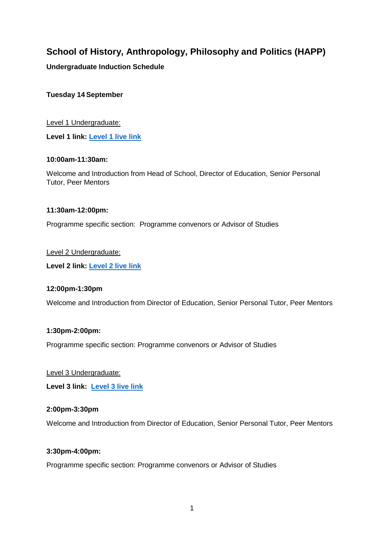# **School of History, Anthropology, Philosophy and Politics (HAPP)**

# **Undergraduate Induction Schedule**

## **Tuesday 14 September**

Level 1 Undergraduate: **Level 1 link: [Level 1 live link](https://eur02.safelinks.protection.outlook.com/ap/t-59584e83/?url=https%3A%2F%2Fteams.microsoft.com%2Fl%2Fmeetup-join%2F19%253a-AoJZggDzobLZYCXsRzRFOxs2pTtlgR9dxBxJPNWGXk1%2540thread.tacv2%2F1631114607903%3Fcontext%3D%257b%2522Tid%2522%253a%2522eaab77ea-b4a5-49e3-a1e8-d6dd23a1f286%2522%252c%2522Oid%2522%253a%25221d8e8d23-b1b4-47f2-ad47-4e71215007ec%2522%257d&data=04%7C01%7CStephen.McCrystall%40qub.ac.uk%7Cebc73db1f5594be0b6f908d977586480%7Ceaab77eab4a549e3a1e8d6dd23a1f286%7C0%7C0%7C637672043783798826%7CUnknown%7CTWFpbGZsb3d8eyJWIjoiMC4wLjAwMDAiLCJQIjoiV2luMzIiLCJBTiI6Ik1haWwiLCJXVCI6Mn0%3D%7C1000&sdata=Q07zZ3npPhxHE6DAopm7oRhSA2szsjDtwDAwMsG1gf0%3D&reserved=0)**

#### **10:00am-11:30am:**

Welcome and Introduction from Head of School, Director of Education, Senior Personal Tutor, Peer Mentors

## **11:30am-12:00pm:**

Programme specific section: Programme convenors or Advisor of Studies

## Level 2 Undergraduate:

**Level 2 link: [Level 2 live link](https://eur02.safelinks.protection.outlook.com/ap/t-59584e83/?url=https%3A%2F%2Fteams.microsoft.com%2Fl%2Fmeetup-join%2F19%253a-AoJZggDzobLZYCXsRzRFOxs2pTtlgR9dxBxJPNWGXk1%2540thread.tacv2%2F1631114716408%3Fcontext%3D%257b%2522Tid%2522%253a%2522eaab77ea-b4a5-49e3-a1e8-d6dd23a1f286%2522%252c%2522Oid%2522%253a%25221d8e8d23-b1b4-47f2-ad47-4e71215007ec%2522%257d&data=04%7C01%7CStephen.McCrystall%40qub.ac.uk%7Cebc73db1f5594be0b6f908d977586480%7Ceaab77eab4a549e3a1e8d6dd23a1f286%7C0%7C0%7C637672043783808785%7CUnknown%7CTWFpbGZsb3d8eyJWIjoiMC4wLjAwMDAiLCJQIjoiV2luMzIiLCJBTiI6Ik1haWwiLCJXVCI6Mn0%3D%7C1000&sdata=dRgmKDiUBY0qY%2BngQfQAZRSuECSt5NL9%2BjDveoOo%2Bj0%3D&reserved=0)**

## **12:00pm-1:30pm**

Welcome and Introduction from Director of Education, Senior Personal Tutor, Peer Mentors

#### **1:30pm-2:00pm:**

Programme specific section: Programme convenors or Advisor of Studies

#### Level 3 Undergraduate:

**Level 3 link: [Level 3 live link](https://eur02.safelinks.protection.outlook.com/ap/t-59584e83/?url=https%3A%2F%2Fteams.microsoft.com%2Fl%2Fmeetup-join%2F19%253a-AoJZggDzobLZYCXsRzRFOxs2pTtlgR9dxBxJPNWGXk1%2540thread.tacv2%2F1631114810615%3Fcontext%3D%257b%2522Tid%2522%253a%2522eaab77ea-b4a5-49e3-a1e8-d6dd23a1f286%2522%252c%2522Oid%2522%253a%25221d8e8d23-b1b4-47f2-ad47-4e71215007ec%2522%257d&data=04%7C01%7CStephen.McCrystall%40qub.ac.uk%7Cebc73db1f5594be0b6f908d977586480%7Ceaab77eab4a549e3a1e8d6dd23a1f286%7C0%7C0%7C637672043783818748%7CUnknown%7CTWFpbGZsb3d8eyJWIjoiMC4wLjAwMDAiLCJQIjoiV2luMzIiLCJBTiI6Ik1haWwiLCJXVCI6Mn0%3D%7C1000&sdata=dwZdOPb6uN%2FinO%2B4gBfOV7wd5pXRGIdKztFDJQ17D%2Fg%3D&reserved=0)**

#### **2:00pm-3:30pm**

Welcome and Introduction from Director of Education, Senior Personal Tutor, Peer Mentors

## **3:30pm-4:00pm:**

Programme specific section: Programme convenors or Advisor of Studies